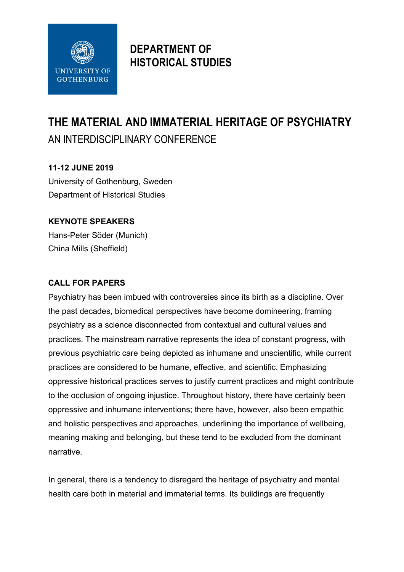

## **DEPARTMENT OF HISTORICAL STUDIES**

# **THE MATERIAL AND IMMATERIAL HERITAGE OF PSYCHIATRY** AN INTERDISCIPLINARY CONFERENCE

#### **11-12 JUNE 2019**

University of Gothenburg, Sweden Department of Historical Studies

### **KEYNOTE SPEAKERS**

Hans-Peter Söder (Munich) China Mills (Sheffield)

#### **CALL FOR PAPERS**

Psychiatry has been imbued with controversies since its birth as a discipline. Over the past decades, biomedical perspectives have become domineering, framing psychiatry as a science disconnected from contextual and cultural values and practices. The mainstream narrative represents the idea of constant progress, with previous psychiatric care being depicted as inhumane and unscientific, while current practices are considered to be humane, effective, and scientific. Emphasizing oppressive historical practices serves to justify current practices and might contribute to the occlusion of ongoing injustice. Throughout history, there have certainly been oppressive and inhumane interventions; there have, however, also been empathic and holistic perspectives and approaches, underlining the importance of wellbeing, meaning making and belonging, but these tend to be excluded from the dominant narrative.

In general, there is a tendency to disregard the heritage of psychiatry and mental health care both in material and immaterial terms. Its buildings are frequently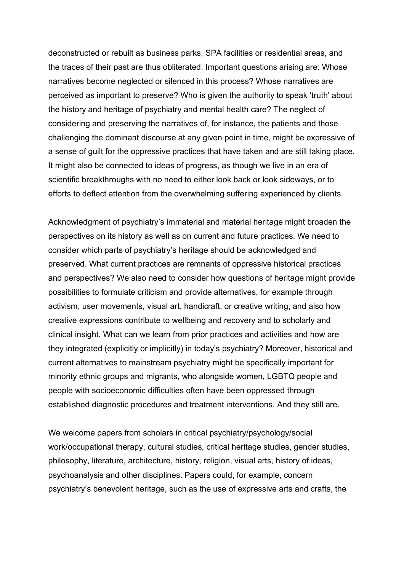deconstructed or rebuilt as business parks, SPA facilities or residential areas, and the traces of their past are thus obliterated. Important questions arising are: Whose narratives become neglected or silenced in this process? Whose narratives are perceived as important to preserve? Who is given the authority to speak 'truth' about the history and heritage of psychiatry and mental health care? The neglect of considering and preserving the narratives of, for instance, the patients and those challenging the dominant discourse at any given point in time, might be expressive of a sense of guilt for the oppressive practices that have taken and are still taking place. It might also be connected to ideas of progress, as though we live in an era of scientific breakthroughs with no need to either look back or look sideways, or to efforts to deflect attention from the overwhelming suffering experienced by clients.

Acknowledgment of psychiatry's immaterial and material heritage might broaden the perspectives on its history as well as on current and future practices. We need to consider which parts of psychiatry's heritage should be acknowledged and preserved. What current practices are remnants of oppressive historical practices and perspectives? We also need to consider how questions of heritage might provide possibilities to formulate criticism and provide alternatives, for example through activism, user movements, visual art, handicraft, or creative writing, and also how creative expressions contribute to wellbeing and recovery and to scholarly and clinical insight. What can we learn from prior practices and activities and how are they integrated (explicitly or implicitly) in today's psychiatry? Moreover, historical and current alternatives to mainstream psychiatry might be specifically important for minority ethnic groups and migrants, who alongside women, LGBTQ people and people with socioeconomic difficulties often have been oppressed through established diagnostic procedures and treatment interventions. And they still are.

We welcome papers from scholars in critical psychiatry/psychology/social work/occupational therapy, cultural studies, critical heritage studies, gender studies, philosophy, literature, architecture, history, religion, visual arts, history of ideas, psychoanalysis and other disciplines. Papers could, for example, concern psychiatry's benevolent heritage, such as the use of expressive arts and crafts, the